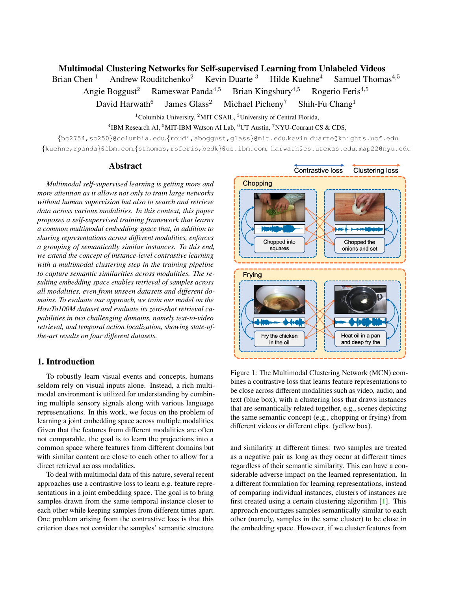### <span id="page-0-1"></span>Multimodal Clustering Networks for Self-supervised Learning from Unlabeled Videos

Brian Chen <sup>1</sup> Andrew Rouditchenko<sup>2</sup> Kevin Duarte <sup>3</sup> Hilde Kuehne<sup>4</sup> Samuel Thomas<sup>4,5</sup> Angie Boggust<sup>2</sup> Rameswar Panda<sup>4,5</sup> Brian Kingsbury<sup>4,5</sup> Rogerio Feris<sup>4,5</sup> David Harwath $6$ James Glass<sup>2</sup> Michael Picheny<sup>7</sup> Shih-Fu Chang<sup>1</sup>

> $1$ Columbia University,  $2$ MIT CSAIL,  $3$ University of Central Florida, <sup>4</sup>IBM Research AI, <sup>5</sup>MIT-IBM Watson AI Lab, <sup>6</sup>UT Austin, <sup>7</sup>NYU-Courant CS & CDS,

{bc2754,sc250}@columbia.edu,{roudi,aboggust,glass}@mit.edu,kevin duarte@knights.ucf.edu {kuehne,rpanda}@ibm.com,{sthomas,rsferis,bedk}@us.ibm.com, harwath@cs.utexas.edu, map22@nyu.edu

### Abstract

*Multimodal self-supervised learning is getting more and more attention as it allows not only to train large networks without human supervision but also to search and retrieve data across various modalities. In this context, this paper proposes a self-supervised training framework that learns a common multimodal embedding space that, in addition to sharing representations across different modalities, enforces a grouping of semantically similar instances. To this end, we extend the concept of instance-level contrastive learning with a multimodal clustering step in the training pipeline to capture semantic similarities across modalities. The resulting embedding space enables retrieval of samples across all modalities, even from unseen datasets and different domains. To evaluate our approach, we train our model on the HowTo100M dataset and evaluate its zero-shot retrieval capabilities in two challenging domains, namely text-to-video retrieval, and temporal action localization, showing state-ofthe-art results on four different datasets.*

## 1. Introduction

To robustly learn visual events and concepts, humans seldom rely on visual inputs alone. Instead, a rich multimodal environment is utilized for understanding by combining multiple sensory signals along with various language representations. In this work, we focus on the problem of learning a joint embedding space across multiple modalities. Given that the features from different modalities are often not comparable, the goal is to learn the projections into a common space where features from different domains but with similar content are close to each other to allow for a direct retrieval across modalities.

To deal with multimodal data of this nature, several recent approaches use a contrastive loss to learn e.g. feature representations in a joint embedding space. The goal is to bring samples drawn from the same temporal instance closer to each other while keeping samples from different times apart. One problem arising from the contrastive loss is that this criterion does not consider the samples' semantic structure

<span id="page-0-0"></span>

Figure 1: The Multimodal Clustering Network (MCN) combines a contrastive loss that learns feature representations to be close across different modalities such as video, audio, and text (blue box), with a clustering loss that draws instances that are semantically related together, e.g., scenes depicting the same semantic concept (e.g., chopping or frying) from different videos or different clips. (yellow box).

and similarity at different times: two samples are treated as a negative pair as long as they occur at different times regardless of their semantic similarity. This can have a considerable adverse impact on the learned representation. In a different formulation for learning representations, instead of comparing individual instances, clusters of instances are first created using a certain clustering algorithm [\[1\]](#page-3-0). This approach encourages samples semantically similar to each other (namely, samples in the same cluster) to be close in the embedding space. However, if we cluster features from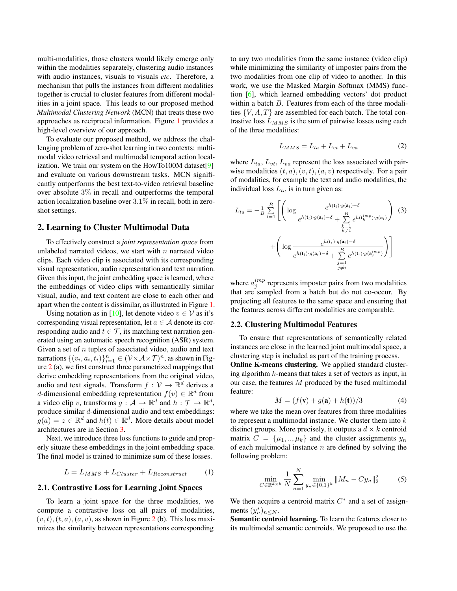<span id="page-1-0"></span>multi-modalities, those clusters would likely emerge only within the modalities separately, clustering audio instances with audio instances, visuals to visuals *etc*. Therefore, a mechanism that pulls the instances from different modalities together is crucial to cluster features from different modalities in a joint space. This leads to our proposed method *Multimodal Clustering Network* (MCN) that treats these two approaches as reciprocal information. Figure [1](#page-0-0) provides a high-level overview of our approach.

To evaluate our proposed method, we address the challenging problem of zero-shot learning in two contexts: multimodal video retrieval and multimodal temporal action localization. We train our system on the HowTo100M dataset[\[9\]](#page-3-1) and evaluate on various downstream tasks. MCN significantly outperforms the best text-to-video retrieval baseline over absolute 3% in recall and outperforms the temporal action localization baseline over 3.1% in recall, both in zeroshot settings.

#### 2. Learning to Cluster Multimodal Data

To effectively construct a *joint representation space* from unlabeled narrated videos, we start with  $n$  narrated video clips. Each video clip is associated with its corresponding visual representation, audio representation and text narration. Given this input, the joint embedding space is learned, where the embeddings of video clips with semantically similar visual, audio, and text content are close to each other and apart when the content is dissimilar, as illustrated in Figure [1.](#page-0-0)

Using notation as in [\[10\]](#page-3-2), let denote video  $v \in V$  as it's corresponding visual representation, let  $a \in \mathcal{A}$  denote its corresponding audio and  $t \in \mathcal{T}$ , its matching text narration generated using an automatic speech recognition (ASR) system. Given a set of  $n$  tuples of associated video, audio and text narrations  $\{(v_i, a_i, t_i)\}_{i=1}^n \in (\mathcal{V} \times \mathcal{A} \times \mathcal{T})^n$ , as shown in Figure [2](#page-2-0) (a), we first construct three parametrized mappings that derive embedding representations from the original video, audio and text signals. Transform  $f: \mathcal{V} \to \mathbb{R}^d$  derives a d-dimensional embedding representation  $f(v) \in \mathbb{R}^d$  from a video clip v, transforms  $g: \mathcal{A} \to \mathbb{R}^d$  and  $h: \mathcal{T} \to \mathbb{R}^d$ , produce similar d-dimensional audio and text embeddings:  $g(a) = z \in \mathbb{R}^d$  and  $h(t) \in \mathbb{R}^d$ . More details about model architectures are in Section [3.](#page-2-1)

Next, we introduce three loss functions to guide and properly situate these embeddings in the joint embedding space. The final model is trained to minimize sum of these losses.

$$
L = L_{MMS} + L_{Cluster} + L_{Reconstruct} \tag{1}
$$

## 2.1. Contrastive Loss for Learning Joint Spaces

To learn a joint space for the three modalities, we compute a contrastive loss on all pairs of modalities,  $(v, t), (t, a), (a, v)$ , as shown in Figure [2](#page-2-0) (b). This loss maximizes the similarity between representations corresponding

to any two modalities from the same instance (video clip) while minimizing the similarity of imposter pairs from the two modalities from one clip of video to another. In this work, we use the Masked Margin Softmax (MMS) function [\[6\]](#page-3-3), which learned embedding vectors' dot product within a batch B. Features from each of the three modalities  $\{V, A, T\}$  are assembled for each batch. The total contrastive loss  $L_{MMS}$  is the sum of pairwise losses using each of the three modalities:

$$
L_{MMS} = L_{ta} + L_{vt} + L_{va} \tag{2}
$$

where  $L_{ta}$ ,  $L_{vt}$ ,  $L_{va}$  represent the loss associated with pairwise modalities  $(t, a), (v, t), (a, v)$  respectively. For a pair of modalities, for example the text and audio modalities, the individual loss  $L_{ta}$  is in turn given as:

$$
L_{ta} = -\frac{1}{B} \sum_{i=1}^{B} \left[ \left( \log \frac{e^{h(\mathbf{t}_i) \cdot g(\mathbf{a}_i) - \delta}}{e^{h(\mathbf{t}_i) \cdot g(\mathbf{a}_i) - \delta} + \sum_{\substack{k=1 \ k \neq i}}^{B} e^{h(\mathbf{t}_k^{imp}) \cdot g(\mathbf{a}_i)} \right) (3)
$$

$$
+ \left( \log \frac{e^{h(\mathbf{t}_i) \cdot g(\mathbf{a}_i) - \delta}}{e^{h(\mathbf{t}_i) \cdot g(\mathbf{a}_i) - \delta} + \sum_{\substack{j=1 \ j \neq i}}^{B} e^{h(\mathbf{t}_i) \cdot g(\mathbf{a}_j^{imp})}} \right) \right]
$$

where  $a_j^{imp}$  represents imposter pairs from two modalities that are sampled from a batch but do not co-occur. By projecting all features to the same space and ensuring that the features across different modalities are comparable.

#### 2.2. Clustering Multimodal Features

To ensure that representations of semantically related instances are close in the learned joint multimodal space, a clustering step is included as part of the training process.

Online K-means clustering. We applied standard clustering algorithm  $k$ -means that takes a set of vectors as input, in our case, the features  $M$  produced by the fused multimodal feature:

$$
M = (f(\mathbf{v}) + g(\mathbf{a}) + h(\mathbf{t}))/3
$$
 (4)

where we take the mean over features from three modalities to represent a multimodal instance. We cluster them into  $k$ distinct groups. More precisely, it outputs a  $d \times k$  centroid matrix  $C = {\mu_1, ..., \mu_k}$  and the cluster assignments  $y_n$ of each multimodal instance  $n$  are defined by solving the following problem:

$$
\min_{C \in \mathbb{R}^{d \times k}} \frac{1}{N} \sum_{n=1}^{N} \min_{y_n \in \{0, 1\}^k} \|M_n - C y_n\|_2^2 \tag{5}
$$

We then acquire a centroid matrix  $C^*$  and a set of assignments  $(y_n^*)_{n \leq N}$ .

Semantic centroid learning. To learn the features closer to its multimodal semantic centroids. We proposed to use the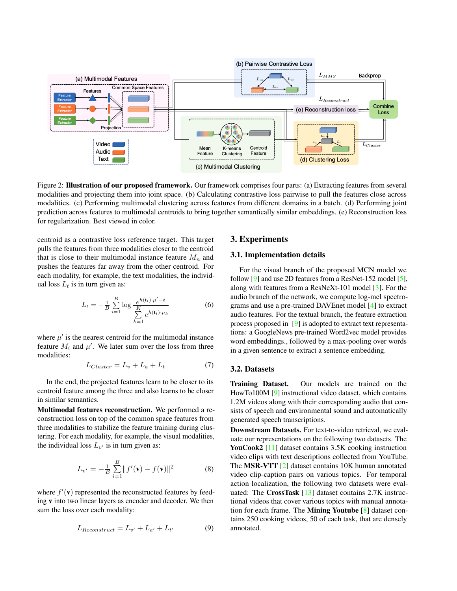<span id="page-2-2"></span><span id="page-2-0"></span>

Figure 2: Illustration of our proposed framework. Our framework comprises four parts: (a) Extracting features from several modalities and projecting them into joint space. (b) Calculating contrastive loss pairwise to pull the features close across modalities. (c) Performing multimodal clustering across features from different domains in a batch. (d) Performing joint prediction across features to multimodal centroids to bring together semantically similar embeddings. (e) Reconstruction loss for regularization. Best viewed in color.

centroid as a contrastive loss reference target. This target pulls the features from three modalities closer to the centroid that is close to their multimodal instance feature  $M_n$  and pushes the features far away from the other centroid. For each modality, for example, the text modalities, the individual loss  $L_t$  is in turn given as:

$$
L_t = -\frac{1}{B} \sum_{i=1}^{B} \log \frac{e^{h(\mathbf{t}_i) \cdot \mu' - \delta}}{\sum_{k=1}^{K} e^{h(\mathbf{t}_i) \cdot \mu_k}}
$$
(6)

where  $\mu'$  is the nearest centroid for the multimodal instance feature  $M_i$  and  $\mu'$ . We later sum over the loss from three modalities:

$$
L_{Cluster} = L_v + L_a + L_t \tag{7}
$$

In the end, the projected features learn to be closer to its centroid feature among the three and also learns to be closer in similar semantics.

Multimodal features reconstruction. We performed a reconstruction loss on top of the common space features from three modalities to stabilize the feature training during clustering. For each modality, for example, the visual modalities, the individual loss  $L_{v'}$  is in turn given as:

$$
L_{v'} = -\frac{1}{B} \sum_{i=1}^{B} ||f'(\mathbf{v}) - f(\mathbf{v})||^2
$$
 (8)

where  $f'(\mathbf{v})$  represented the reconstructed features by feeding v into two linear layers as encoder and decoder. We then sum the loss over each modality:

$$
L_{Reconstruct} = L_{v'} + L_{a'} + L_{t'}
$$
 (9)

### <span id="page-2-1"></span>3. Experiments

#### 3.1. Implementation details

For the visual branch of the proposed MCN model we follow [\[9\]](#page-3-1) and use 2D features from a ResNet-152 model [\[5\]](#page-3-4), along with features from a ResNeXt-101 model [\[3\]](#page-3-5). For the audio branch of the network, we compute log-mel spectrograms and use a pre-trained DAVEnet model [\[4\]](#page-3-6) to extract audio features. For the textual branch, the feature extraction process proposed in [\[9\]](#page-3-1) is adopted to extract text representations: a GoogleNews pre-trained Word2vec model provides word embeddings., followed by a max-pooling over words in a given sentence to extract a sentence embedding.

### 3.2. Datasets

Training Dataset. Our models are trained on the HowTo100M [\[9\]](#page-3-1) instructional video dataset, which contains 1.2M videos along with their corresponding audio that consists of speech and environmental sound and automatically generated speech transcriptions.

Downstream Datasets. For text-to-video retrieval, we evaluate our representations on the following two datasets. The YouCook2 [\[11\]](#page-3-7) dataset contains 3.5K cooking instruction video clips with text descriptions collected from YouTube. The MSR-VTT [\[2\]](#page-3-8) dataset contains 10K human annotated video clip-caption pairs on various topics. For temporal action localization, the following two datasets were eval-uated: The CrossTask [\[13\]](#page-3-9) dataset contains 2.7K instructional videos that cover various topics with manual annotation for each frame. The Mining Youtube [\[8\]](#page-3-10) dataset contains 250 cooking videos, 50 of each task, that are densely annotated.